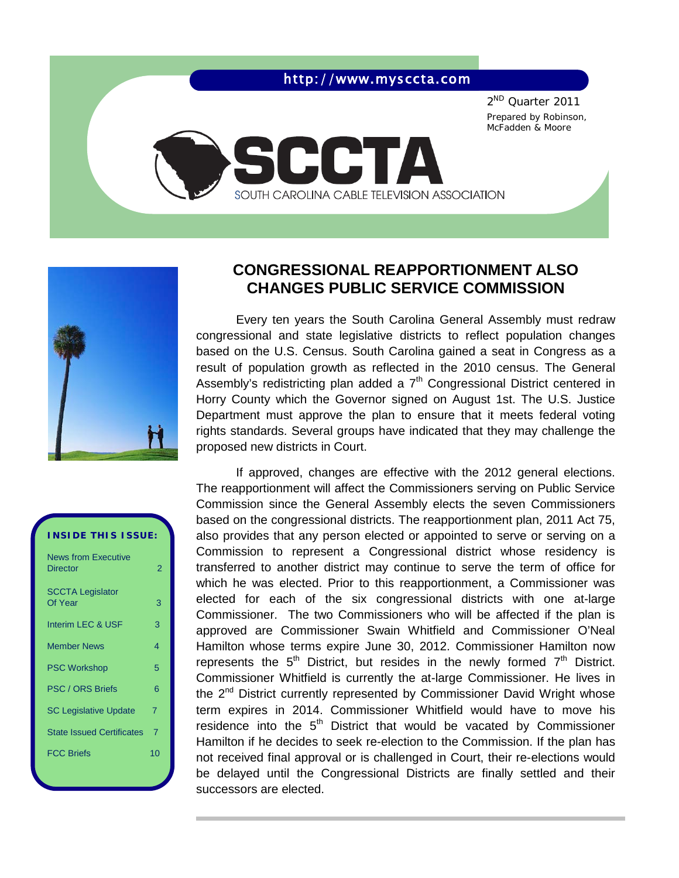## http://www.mysccta.com

SOUTH CAROLINA CABLE TELEVISION ASSOCIATION

CCT

2ND Quarter 2011 Prepared by Robinson, McFadden & Moore



# **CONGRESSIONAL REAPPORTIONMENT ALSO CHANGES PUBLIC SERVICE COMMISSION**

Every ten years the South Carolina General Assembly must redraw congressional and state legislative districts to reflect population changes based on the U.S. Census. South Carolina gained a seat in Congress as a result of population growth as reflected in the 2010 census. The General Assembly's redistricting plan added a  $7<sup>th</sup>$  Congressional District centered in Horry County which the Governor signed on August 1st. The U.S. Justice Department must approve the plan to ensure that it meets federal voting rights standards. Several groups have indicated that they may challenge the proposed new districts in Court.

If approved, changes are effective with the 2012 general elections. The reapportionment will affect the Commissioners serving on Public Service Commission since the General Assembly elects the seven Commissioners based on the congressional districts. The reapportionment plan, 2011 Act 75, also provides that any person elected or appointed to serve or serving on a Commission to represent a Congressional district whose residency is transferred to another district may continue to serve the term of office for which he was elected. Prior to this reapportionment, a Commissioner was elected for each of the six congressional districts with one at-large Commissioner. The two Commissioners who will be affected if the plan is approved are Commissioner Swain Whitfield and Commissioner O'Neal Hamilton whose terms expire June 30, 2012. Commissioner Hamilton now represents the  $5<sup>th</sup>$  District, but resides in the newly formed  $7<sup>th</sup>$  District. Commissioner Whitfield is currently the at-large Commissioner. He lives in the  $2^{nd}$  District currently represented by Commissioner David Wright whose term expires in 2014. Commissioner Whitfield would have to move his residence into the  $5<sup>th</sup>$  District that would be vacated by Commissioner Hamilton if he decides to seek re-election to the Commission. If the plan has not received final approval or is challenged in Court, their re-elections would be delayed until the Congressional Districts are finally settled and their successors are elected.

# **INSIDE THIS ISSUE:**

| <b>News from Executive</b><br><b>Director</b> | 2  |
|-----------------------------------------------|----|
| <b>SCCTA Legislator</b><br>Of Year            | 3  |
| Interim LEC & USF                             | 3  |
| <b>Member News</b>                            | 4  |
| <b>PSC Workshop</b>                           | 5  |
| <b>PSC / ORS Briefs</b>                       | 6  |
| <b>SC Legislative Update</b>                  | 7  |
| <b>State Issued Certificates</b>              | 7  |
| <b>FCC Briefs</b>                             | 10 |
|                                               |    |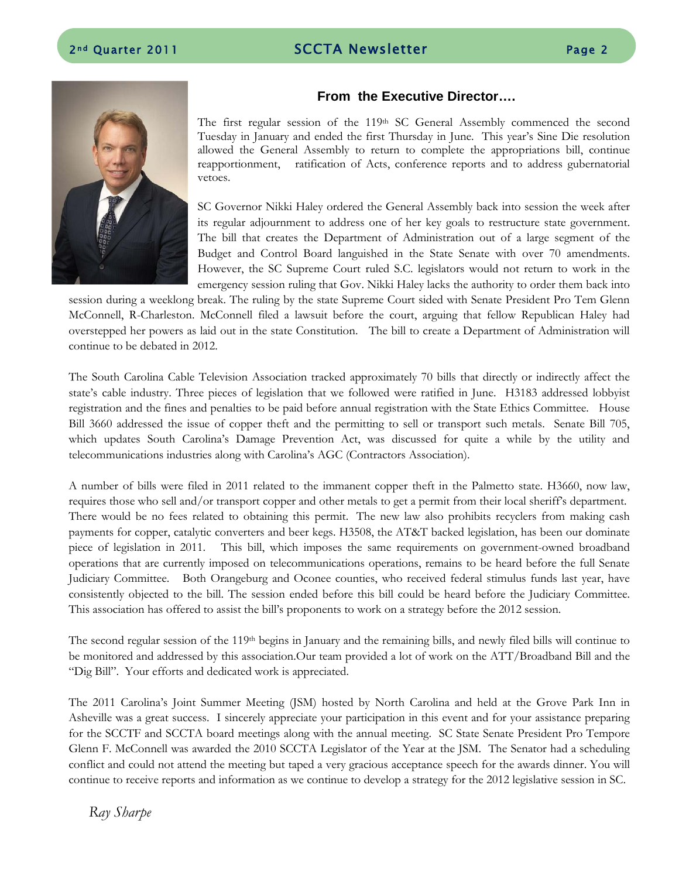

#### **From the Executive Director….**

The first regular session of the  $119<sup>th</sup>$  SC General Assembly commenced the second Tuesday in January and ended the first Thursday in June. This year's Sine Die resolution allowed the General Assembly to return to complete the appropriations bill, continue reapportionment, ratification of Acts, conference reports and to address gubernatorial vetoes.

SC Governor Nikki Haley ordered the General Assembly back into session the week after its regular adjournment to address one of her key goals to restructure state government. The bill that creates the Department of Administration out of a large segment of the Budget and Control Board languished in the State Senate with over 70 amendments. However, the SC Supreme Court ruled S.C. legislators would not return to work in the emergency session ruling that Gov. Nikki Haley lacks the authority to order them back into

session during a weeklong break. The ruling by the state Supreme Court sided with Senate President Pro Tem Glenn McConnell, R-Charleston. McConnell filed a lawsuit before the court, arguing that fellow Republican Haley had overstepped her powers as laid out in the state Constitution. The bill to create a Department of Administration will continue to be debated in 2012.

The South Carolina Cable Television Association tracked approximately 70 bills that directly or indirectly affect the state's cable industry. Three pieces of legislation that we followed were ratified in June. H3183 addressed lobbyist registration and the fines and penalties to be paid before annual registration with the State Ethics Committee. House Bill 3660 addressed the issue of copper theft and the permitting to sell or transport such metals. Senate Bill 705, which updates South Carolina's Damage Prevention Act, was discussed for quite a while by the utility and telecommunications industries along with Carolina's AGC (Contractors Association).

A number of bills were filed in 2011 related to the immanent copper theft in the Palmetto state. H3660, now law, requires those who sell and/or transport copper and other metals to get a permit from their local sheriff's department. There would be no fees related to obtaining this permit. The new law also prohibits recyclers from making cash payments for copper, catalytic converters and beer kegs. H3508, the AT&T backed legislation, has been our dominate piece of legislation in 2011. This bill, which imposes the same requirements on government-owned broadband operations that are currently imposed on telecommunications operations, remains to be heard before the full Senate Judiciary Committee. Both Orangeburg and Oconee counties, who received federal stimulus funds last year, have consistently objected to the bill. The session ended before this bill could be heard before the Judiciary Committee. This association has offered to assist the bill's proponents to work on a strategy before the 2012 session.

The second regular session of the 119<sup>th</sup> begins in January and the remaining bills, and newly filed bills will continue to be monitored and addressed by this association.Our team provided a lot of work on the ATT/Broadband Bill and the "Dig Bill". Your efforts and dedicated work is appreciated.

The 2011 Carolina's Joint Summer Meeting (JSM) hosted by North Carolina and held at the Grove Park Inn in Asheville was a great success. I sincerely appreciate your participation in this event and for your assistance preparing for the SCCTF and SCCTA board meetings along with the annual meeting. SC State Senate President Pro Tempore Glenn F. McConnell was awarded the 2010 SCCTA Legislator of the Year at the JSM. The Senator had a scheduling conflict and could not attend the meeting but taped a very gracious acceptance speech for the awards dinner. You will continue to receive reports and information as we continue to develop a strategy for the 2012 legislative session in SC.

*Ray Sharpe*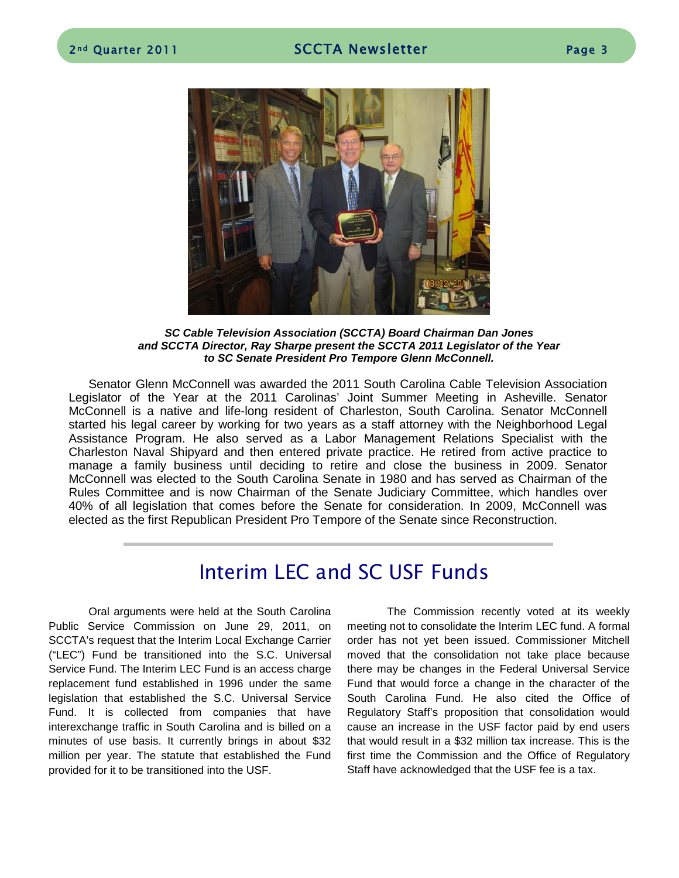

*SC Cable Television Association (SCCTA) Board Chairman Dan Jones and SCCTA Director, Ray Sharpe present the SCCTA 2011 Legislator of the Year to SC Senate President Pro Tempore Glenn McConnell.*

Senator Glenn McConnell was awarded the 2011 South Carolina Cable Television Association Legislator of the Year at the 2011 Carolinas' Joint Summer Meeting in Asheville. Senator McConnell is a native and life-long resident of Charleston, South Carolina. Senator McConnell started his legal career by working for two years as a staff attorney with the Neighborhood Legal Assistance Program. He also served as a Labor Management Relations Specialist with the Charleston Naval Shipyard and then entered private practice. He retired from active practice to manage a family business until deciding to retire and close the business in 2009. Senator McConnell was elected to the South Carolina Senate in 1980 and has served as Chairman of the Rules Committee and is now Chairman of the Senate Judiciary Committee, which handles over 40% of all legislation that comes before the Senate for consideration. In 2009, McConnell was elected as the first Republican President Pro Tempore of the Senate since Reconstruction.

# Interim LEC and SC USF Funds

Oral arguments were held at the South Carolina Public Service Commission on June 29, 2011, on SCCTA's request that the Interim Local Exchange Carrier ("LEC") Fund be transitioned into the S.C. Universal Service Fund. The Interim LEC Fund is an access charge replacement fund established in 1996 under the same legislation that established the S.C. Universal Service Fund. It is collected from companies that have interexchange traffic in South Carolina and is billed on a minutes of use basis. It currently brings in about \$32 million per year. The statute that established the Fund provided for it to be transitioned into the USF.

The Commission recently voted at its weekly meeting not to consolidate the Interim LEC fund. A formal order has not yet been issued. Commissioner Mitchell moved that the consolidation not take place because there may be changes in the Federal Universal Service Fund that would force a change in the character of the South Carolina Fund. He also cited the Office of Regulatory Staff's proposition that consolidation would cause an increase in the USF factor paid by end users that would result in a \$32 million tax increase. This is the first time the Commission and the Office of Regulatory Staff have acknowledged that the USF fee is a tax.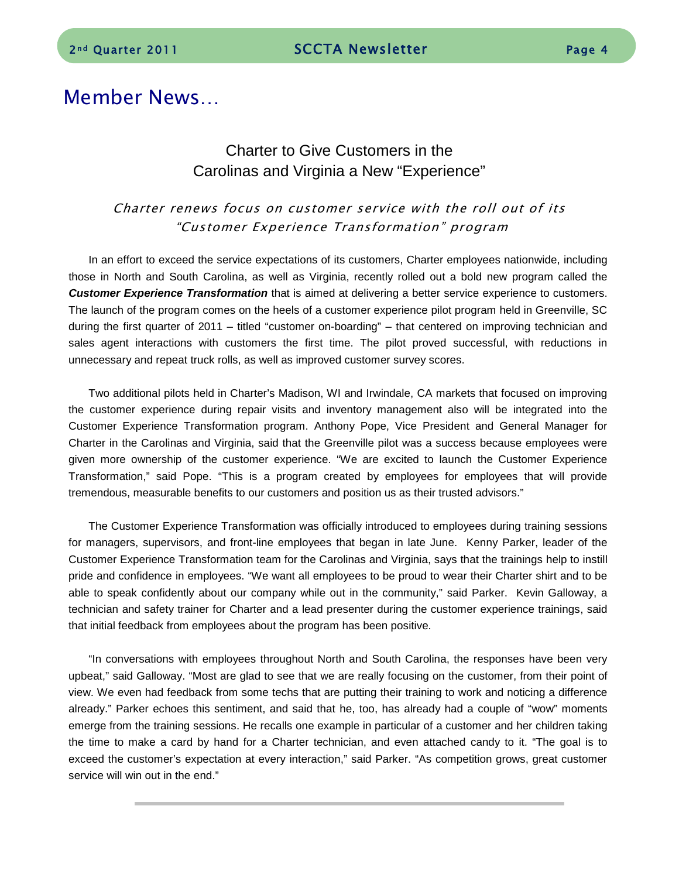# Member News…

# Charter to Give Customers in the Carolinas and Virginia a New "Experience"

## Charter renews focus on customer service with the roll out of its "Customer Experience Transformation" program

In an effort to exceed the service expectations of its customers, Charter employees nationwide, including those in North and South Carolina, as well as Virginia, recently rolled out a bold new program called the *Customer Experience Transformation* that is aimed at delivering a better service experience to customers. The launch of the program comes on the heels of a customer experience pilot program held in Greenville, SC during the first quarter of 2011 – titled "customer on-boarding" – that centered on improving technician and sales agent interactions with customers the first time. The pilot proved successful, with reductions in unnecessary and repeat truck rolls, as well as improved customer survey scores.

Two additional pilots held in Charter's Madison, WI and Irwindale, CA markets that focused on improving the customer experience during repair visits and inventory management also will be integrated into the Customer Experience Transformation program. Anthony Pope, Vice President and General Manager for Charter in the Carolinas and Virginia, said that the Greenville pilot was a success because employees were given more ownership of the customer experience. "We are excited to launch the Customer Experience Transformation," said Pope. "This is a program created by employees for employees that will provide tremendous, measurable benefits to our customers and position us as their trusted advisors."

The Customer Experience Transformation was officially introduced to employees during training sessions for managers, supervisors, and front-line employees that began in late June. Kenny Parker, leader of the Customer Experience Transformation team for the Carolinas and Virginia, says that the trainings help to instill pride and confidence in employees. "We want all employees to be proud to wear their Charter shirt and to be able to speak confidently about our company while out in the community," said Parker. Kevin Galloway, a technician and safety trainer for Charter and a lead presenter during the customer experience trainings, said that initial feedback from employees about the program has been positive.

"In conversations with employees throughout North and South Carolina, the responses have been very upbeat," said Galloway. "Most are glad to see that we are really focusing on the customer, from their point of view. We even had feedback from some techs that are putting their training to work and noticing a difference already." Parker echoes this sentiment, and said that he, too, has already had a couple of "wow" moments emerge from the training sessions. He recalls one example in particular of a customer and her children taking the time to make a card by hand for a Charter technician, and even attached candy to it. "The goal is to exceed the customer's expectation at every interaction," said Parker. "As competition grows, great customer service will win out in the end."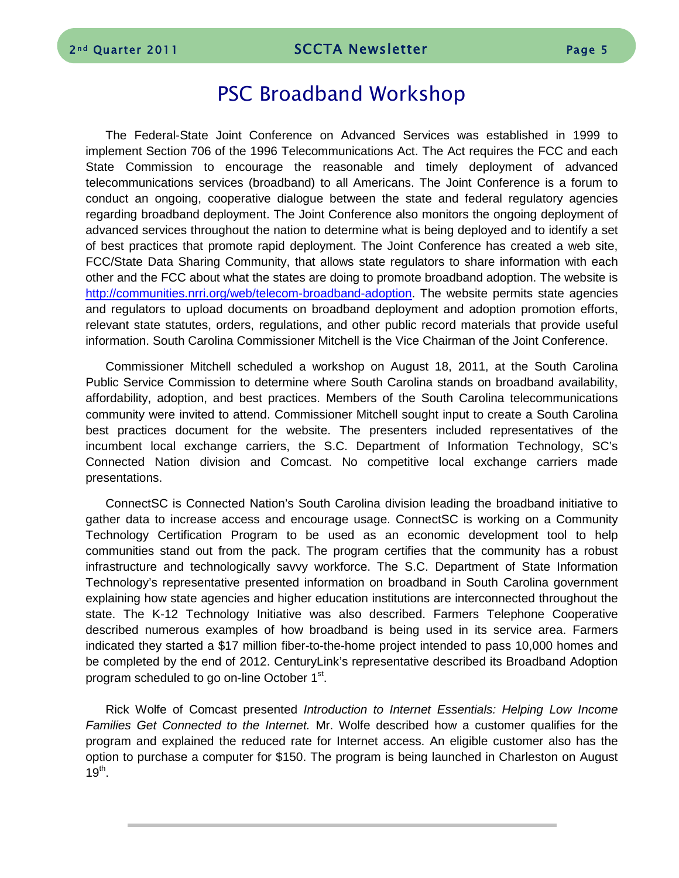# PSC Broadband Workshop

The Federal-State Joint Conference on Advanced Services was established in 1999 to implement Section 706 of the 1996 Telecommunications Act. The Act requires the FCC and each State Commission to encourage the reasonable and timely deployment of advanced telecommunications services (broadband) to all Americans. The Joint Conference is a forum to conduct an ongoing, cooperative dialogue between the state and federal regulatory agencies regarding broadband deployment. The Joint Conference also monitors the ongoing deployment of advanced services throughout the nation to determine what is being deployed and to identify a set of best practices that promote rapid deployment. The Joint Conference has created a web site, FCC/State Data Sharing Community, that allows state regulators to share information with each other and the FCC about what the states are doing to promote broadband adoption. The website is [http://communities.nrri.org/web/telecom-broadband-adoption.](http://communities.nrri.org/web/telecom-broadband-adoption) The website permits state agencies and regulators to upload documents on broadband deployment and adoption promotion efforts, relevant state statutes, orders, regulations, and other public record materials that provide useful information. South Carolina Commissioner Mitchell is the Vice Chairman of the Joint Conference.

Commissioner Mitchell scheduled a workshop on August 18, 2011, at the South Carolina Public Service Commission to determine where South Carolina stands on broadband availability, affordability, adoption, and best practices. Members of the South Carolina telecommunications community were invited to attend. Commissioner Mitchell sought input to create a South Carolina best practices document for the website. The presenters included representatives of the incumbent local exchange carriers, the S.C. Department of Information Technology, SC's Connected Nation division and Comcast. No competitive local exchange carriers made presentations.

ConnectSC is Connected Nation's South Carolina division leading the broadband initiative to gather data to increase access and encourage usage. ConnectSC is working on a Community Technology Certification Program to be used as an economic development tool to help communities stand out from the pack. The program certifies that the community has a robust infrastructure and technologically savvy workforce. The S.C. Department of State Information Technology's representative presented information on broadband in South Carolina government explaining how state agencies and higher education institutions are interconnected throughout the state. The K-12 Technology Initiative was also described. Farmers Telephone Cooperative described numerous examples of how broadband is being used in its service area. Farmers indicated they started a \$17 million fiber-to-the-home project intended to pass 10,000 homes and be completed by the end of 2012. CenturyLink's representative described its Broadband Adoption program scheduled to go on-line October 1<sup>st</sup>.

Rick Wolfe of Comcast presented *Introduction to Internet Essentials: Helping Low Income Families Get Connected to the Internet.* Mr. Wolfe described how a customer qualifies for the program and explained the reduced rate for Internet access. An eligible customer also has the option to purchase a computer for \$150. The program is being launched in Charleston on August  $19^{th}$ .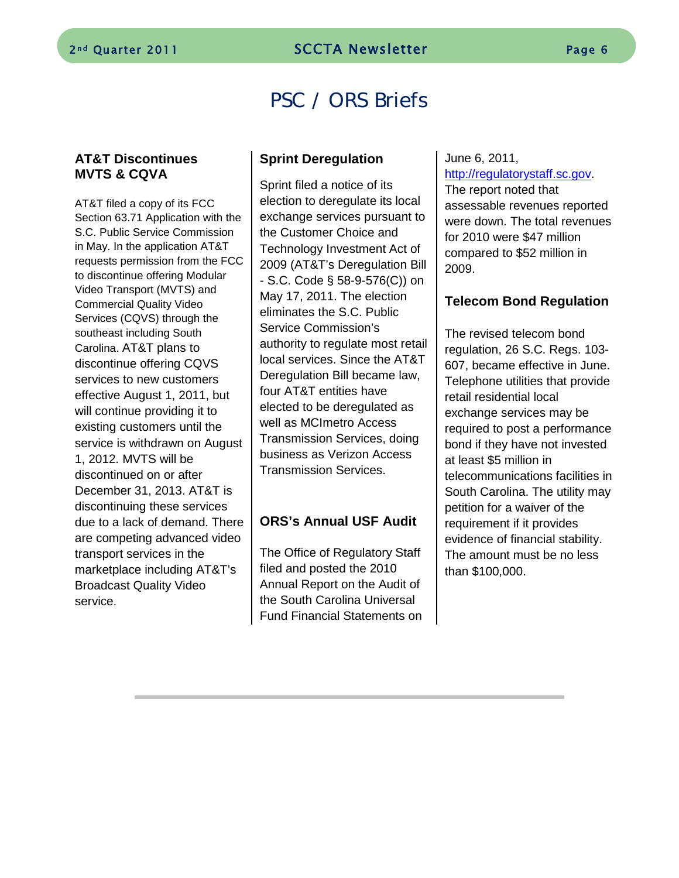# PSC / ORS Briefs

#### **AT&T Discontinues MVTS & CQVA**

AT&T filed a copy of its FCC Section 63.71 Application with the S.C. Public Service Commission in May. In the application AT&T requests permission from the FCC to discontinue offering Modular Video Transport (MVTS) and Commercial Quality Video Services (CQVS) through the southeast including South Carolina. AT&T plans to discontinue offering CQVS services to new customers effective August 1, 2011, but will continue providing it to existing customers until the service is withdrawn on August 1, 2012. MVTS will be discontinued on or after December 31, 2013. AT&T is discontinuing these services due to a lack of demand. There are competing advanced video transport services in the marketplace including AT&T's Broadcast Quality Video service.

### **Sprint Deregulation**

Sprint filed a notice of its election to deregulate its local exchange services pursuant to the Customer Choice and Technology Investment Act of 2009 (AT&T's Deregulation Bill - S.C. Code § 58-9-576(C)) on May 17, 2011. The election eliminates the S.C. Public Service Commission's authority to regulate most retail local services. Since the AT&T Deregulation Bill became law, four AT&T entities have elected to be deregulated as well as MCImetro Access Transmission Services, doing business as Verizon Access Transmission Services.

#### **ORS's Annual USF Audit**

The Office of Regulatory Staff filed and posted the 2010 Annual Report on the Audit of the South Carolina Universal Fund Financial Statements on

# June 6, 2011,

[http://regulatorystaff.sc.gov.](http://regulatorystaff.sc.gov/) The report noted that assessable revenues reported were down. The total revenues for 2010 were \$47 million compared to \$52 million in 2009.

## **Telecom Bond Regulation**

The revised telecom bond regulation, 26 S.C. Regs. 103- 607, became effective in June. Telephone utilities that provide retail residential local exchange services may be required to post a performance bond if they have not invested at least \$5 million in telecommunications facilities in South Carolina. The utility may petition for a waiver of the requirement if it provides evidence of financial stability. The amount must be no less than \$100,000.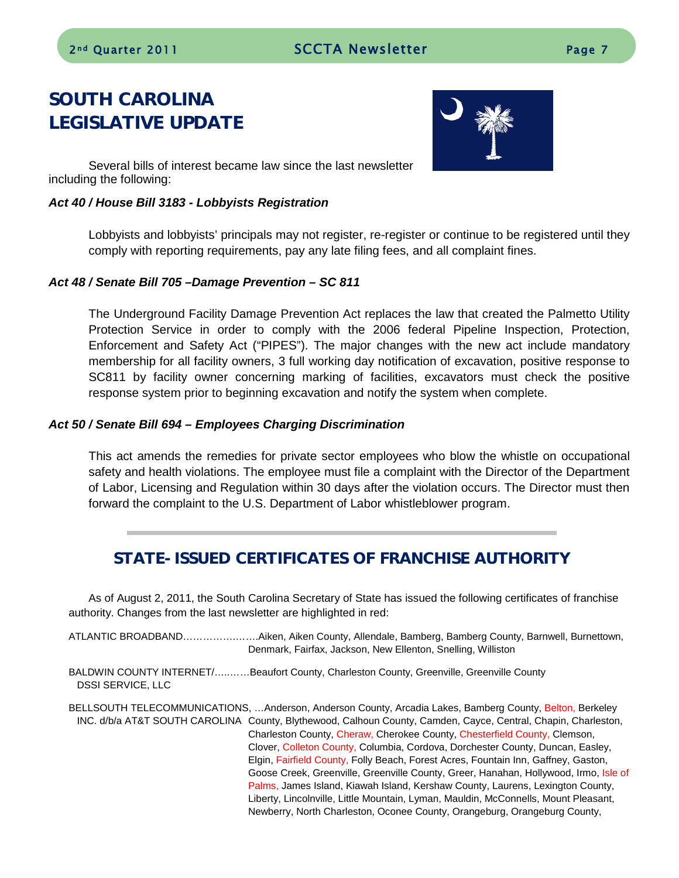# SOUTH CAROLINA LEGISLATIVE UPDATE



Several bills of interest became law since the last newsletter including the following:

#### *Act 40 / House Bill 3183 - Lobbyists Registration*

Lobbyists and lobbyists' principals may not register, re-register or continue to be registered until they comply with reporting requirements, pay any late filing fees, and all complaint fines.

#### *Act 48 / Senate Bill 705 –Damage Prevention – SC 811*

The Underground Facility Damage Prevention Act replaces the law that created the Palmetto Utility Protection Service in order to comply with the 2006 federal Pipeline Inspection, Protection, Enforcement and Safety Act ("PIPES"). The major changes with the new act include mandatory membership for all facility owners, 3 full working day notification of excavation, positive response to SC811 by facility owner concerning marking of facilities, excavators must check the positive response system prior to beginning excavation and notify the system when complete.

#### *Act 50 / Senate Bill 694 – Employees Charging Discrimination*

This act amends the remedies for private sector employees who blow the whistle on occupational safety and health violations. The employee must file a complaint with the Director of the Department of Labor, Licensing and Regulation within 30 days after the violation occurs. The Director must then forward the complaint to the U.S. Department of Labor whistleblower program.

# STATE-ISSUED CERTIFICATES OF FRANCHISE AUTHORITY

As of August 2, 2011, the South Carolina Secretary of State has issued the following certificates of franchise authority. Changes from the last newsletter are highlighted in red:

ATLANTIC BROADBAND…………….…….Aiken, Aiken County, Allendale, Bamberg, Bamberg County, Barnwell, Burnettown, Denmark, Fairfax, Jackson, New Ellenton, Snelling, Williston

BALDWIN COUNTY INTERNET/…..……Beaufort County, Charleston County, Greenville, Greenville County DSSI SERVICE, LLC

BELLSOUTH TELECOMMUNICATIONS, …Anderson, Anderson County, Arcadia Lakes, Bamberg County, Belton, Berkeley INC. d/b/a AT&T SOUTH CAROLINA County, Blythewood, Calhoun County, Camden, Cayce, Central, Chapin, Charleston, Charleston County, Cheraw, Cherokee County, Chesterfield County, Clemson, Clover, Colleton County, Columbia, Cordova, Dorchester County, Duncan, Easley, Elgin, Fairfield County, Folly Beach, Forest Acres, Fountain Inn, Gaffney, Gaston, Goose Creek, Greenville, Greenville County, Greer, Hanahan, Hollywood, Irmo, Isle of Palms, James Island, Kiawah Island, Kershaw County, Laurens, Lexington County, Liberty, Lincolnville, Little Mountain, Lyman, Mauldin, McConnells, Mount Pleasant, Newberry, North Charleston, Oconee County, Orangeburg, Orangeburg County,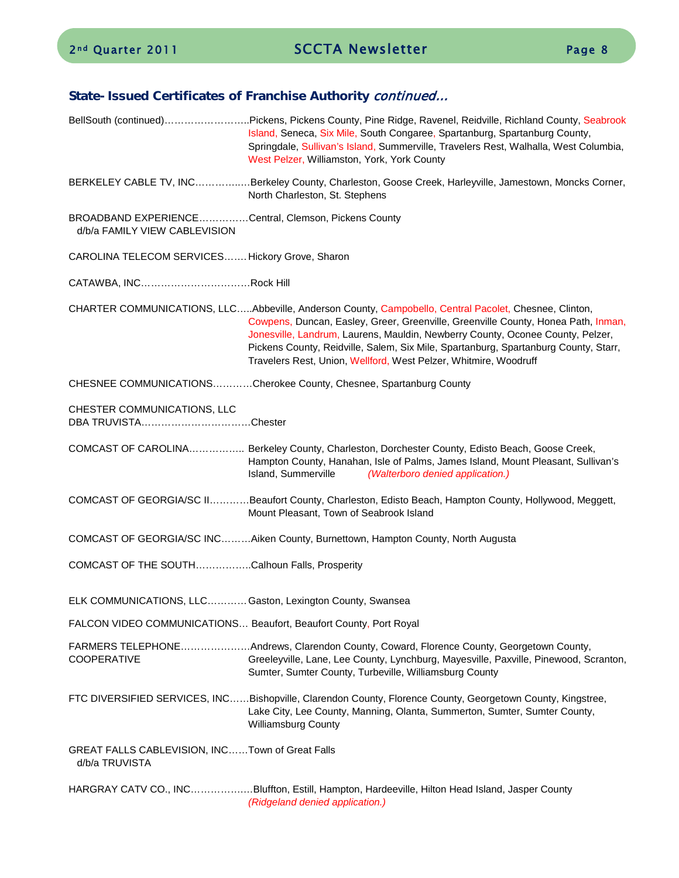## State-Issued Certificates of Franchise Authority continued...

|                                                                                       | BellSouth (continued)Pickens, Pickens County, Pine Ridge, Ravenel, Reidville, Richland County, Seabrook<br>Island, Seneca, Six Mile, South Congaree, Spartanburg, Spartanburg County,<br>Springdale, Sullivan's Island, Summerville, Travelers Rest, Walhalla, West Columbia,<br>West Pelzer, Williamston, York, York County                                                                                                            |
|---------------------------------------------------------------------------------------|-----------------------------------------------------------------------------------------------------------------------------------------------------------------------------------------------------------------------------------------------------------------------------------------------------------------------------------------------------------------------------------------------------------------------------------------|
|                                                                                       | BERKELEY CABLE TV, INCBerkeley County, Charleston, Goose Creek, Harleyville, Jamestown, Moncks Corner,<br>North Charleston, St. Stephens                                                                                                                                                                                                                                                                                                |
| BROADBAND EXPERIENCECentral, Clemson, Pickens County<br>d/b/a FAMILY VIEW CABLEVISION |                                                                                                                                                                                                                                                                                                                                                                                                                                         |
| CAROLINA TELECOM SERVICES Hickory Grove, Sharon                                       |                                                                                                                                                                                                                                                                                                                                                                                                                                         |
| CATAWBA, INCRock Hill                                                                 |                                                                                                                                                                                                                                                                                                                                                                                                                                         |
|                                                                                       | CHARTER COMMUNICATIONS, LLCAbbeville, Anderson County, Campobello, Central Pacolet, Chesnee, Clinton,<br>Cowpens, Duncan, Easley, Greer, Greenville, Greenville County, Honea Path, Inman,<br>Jonesville, Landrum, Laurens, Mauldin, Newberry County, Oconee County, Pelzer,<br>Pickens County, Reidville, Salem, Six Mile, Spartanburg, Spartanburg County, Starr,<br>Travelers Rest, Union, Wellford, West Pelzer, Whitmire, Woodruff |
|                                                                                       | CHESNEE COMMUNICATIONSCherokee County, Chesnee, Spartanburg County                                                                                                                                                                                                                                                                                                                                                                      |
| CHESTER COMMUNICATIONS, LLC<br>DBA TRUVISTAChester                                    |                                                                                                                                                                                                                                                                                                                                                                                                                                         |
|                                                                                       | COMCAST OF CAROLINA Berkeley County, Charleston, Dorchester County, Edisto Beach, Goose Creek,<br>Hampton County, Hanahan, Isle of Palms, James Island, Mount Pleasant, Sullivan's<br>Island, Summerville<br>(Walterboro denied application.)                                                                                                                                                                                           |
|                                                                                       | COMCAST OF GEORGIA/SC IIBeaufort County, Charleston, Edisto Beach, Hampton County, Hollywood, Meggett,<br>Mount Pleasant, Town of Seabrook Island                                                                                                                                                                                                                                                                                       |
|                                                                                       | COMCAST OF GEORGIA/SC INCAiken County, Burnettown, Hampton County, North Augusta                                                                                                                                                                                                                                                                                                                                                        |
| COMCAST OF THE SOUTHCalhoun Falls, Prosperity                                         |                                                                                                                                                                                                                                                                                                                                                                                                                                         |
| ELK COMMUNICATIONS, LLC Gaston, Lexington County, Swansea                             |                                                                                                                                                                                                                                                                                                                                                                                                                                         |
| FALCON VIDEO COMMUNICATIONS Beaufort, Beaufort County, Port Royal                     |                                                                                                                                                                                                                                                                                                                                                                                                                                         |
| <b>COOPERATIVE</b>                                                                    | FARMERS TELEPHONEAndrews, Clarendon County, Coward, Florence County, Georgetown County,<br>Greeleyville, Lane, Lee County, Lynchburg, Mayesville, Paxville, Pinewood, Scranton,<br>Sumter, Sumter County, Turbeville, Williamsburg County                                                                                                                                                                                               |
|                                                                                       | FTC DIVERSIFIED SERVICES, INCBishopville, Clarendon County, Florence County, Georgetown County, Kingstree,<br>Lake City, Lee County, Manning, Olanta, Summerton, Sumter, Sumter County,<br><b>Williamsburg County</b>                                                                                                                                                                                                                   |
| GREAT FALLS CABLEVISION, INCTown of Great Falls<br>d/b/a TRUVISTA                     |                                                                                                                                                                                                                                                                                                                                                                                                                                         |
|                                                                                       | HARGRAY CATV CO., INCBluffton, Estill, Hampton, Hardeeville, Hilton Head Island, Jasper County                                                                                                                                                                                                                                                                                                                                          |

*(Ridgeland denied application.)*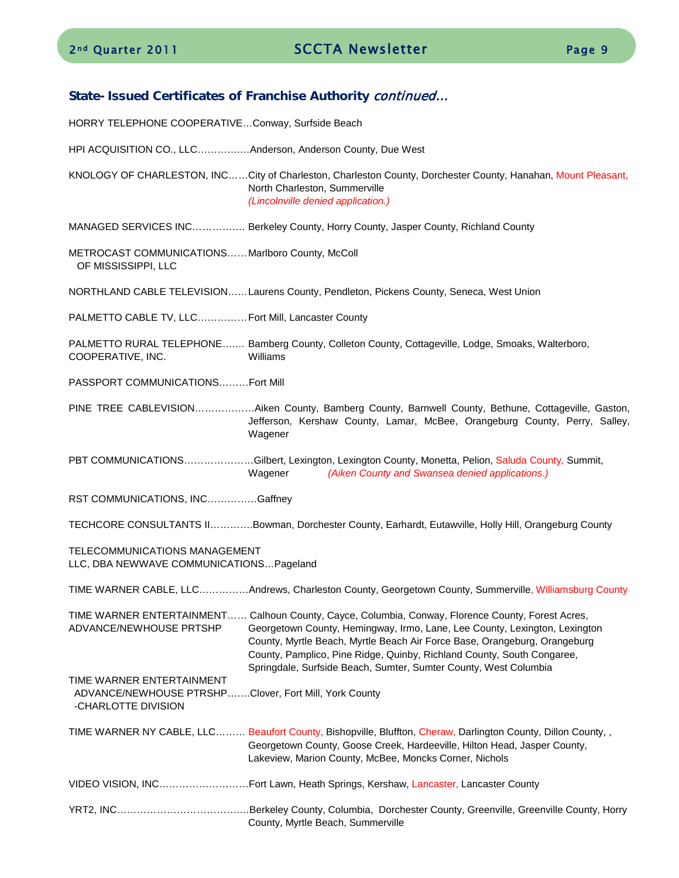#### State-Issued Certificates of Franchise Authority continued…

HORRY TELEPHONE COOPERATIVE…Conway, Surfside Beach

HPI ACQUISITION CO., LLC………….…Anderson, Anderson County, Due West

KNOLOGY OF CHARLESTON, INC……City of Charleston, Charleston County, Dorchester County, Hanahan, Mount Pleasant, North Charleston, Summerville *(Lincolnville denied application.)*

MANAGED SERVICES INC……………. Berkeley County, Horry County, Jasper County, Richland County

METROCAST COMMUNICATIONS……Marlboro County, McColl OF MISSISSIPPI, LLC

NORTHLAND CABLE TELEVISION……Laurens County, Pendleton, Pickens County, Seneca, West Union

PALMETTO CABLE TV, LLC……………Fort Mill, Lancaster County

PALMETTO RURAL TELEPHONE….… Bamberg County, Colleton County, Cottageville, Lodge, Smoaks, Walterboro, COOPERATIVE, INC. Williams

PASSPORT COMMUNICATIONS………Fort Mill

PINE TREE CABLEVISION………………Aiken County, Bamberg County, Barnwell County, Bethune, Cottageville, Gaston, Jefferson, Kershaw County, Lamar, McBee, Orangeburg County, Perry, Salley, Wagener

PBT COMMUNICATIONS…………………Gilbert, Lexington, Lexington County, Monetta, Pelion, Saluda County, Summit, Wagener *(Aiken County and Swansea denied applications.)*

RST COMMUNICATIONS, INC……………Gaffney

TECHCORE CONSULTANTS II………….Bowman, Dorchester County, Earhardt, Eutawville, Holly Hill, Orangeburg County

TELECOMMUNICATIONS MANAGEMENT

LLC, DBA NEWWAVE COMMUNICATIONS…Pageland

TIME WARNER CABLE, LLC……………Andrews, Charleston County, Georgetown County, Summerville, Williamsburg County

TIME WARNER ENTERTAINMENT…… Calhoun County, Cayce, Columbia, Conway, Florence County, Forest Acres, ADVANCE/NEWHOUSE PRTSHP Georgetown County, Hemingway, Irmo, Lane, Lee County, Lexington, Lexington County, Myrtle Beach, Myrtle Beach Air Force Base, Orangeburg, Orangeburg County, Pamplico, Pine Ridge, Quinby, Richland County, South Congaree, Springdale, Surfside Beach, Sumter, Sumter County, West Columbia

TIME WARNER ENTERTAINMENT ADVANCE/NEWHOUSE PTRSHP…….Clover, Fort Mill, York County -CHARLOTTE DIVISION

TIME WARNER NY CABLE, LLC......... Beaufort County, Bishopville, Bluffton, Cheraw, Darlington County, Dillon County, , Georgetown County, Goose Creek, Hardeeville, Hilton Head, Jasper County, Lakeview, Marion County, McBee, Moncks Corner, Nichols

- VIDEO VISION, INC………………………Fort Lawn, Heath Springs, Kershaw, Lancaster, Lancaster County
- YRT2, INC……………………………….…Berkeley County, Columbia, Dorchester County, Greenville, Greenville County, Horry County, Myrtle Beach, Summerville